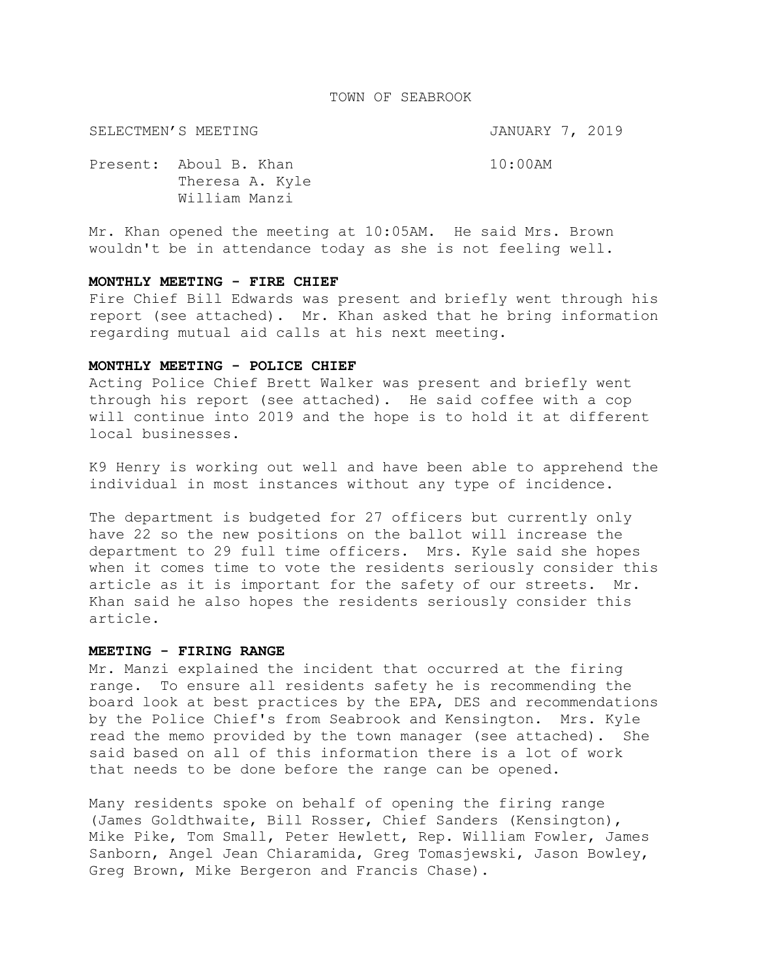#### TOWN OF SEABROOK

SELECTMEN'S MEETING **SELECTMEN'S** SELECTMEN'S

Present: Aboul B. Khan 10:00AM Theresa A. Kyle William Manzi

Mr. Khan opened the meeting at 10:05AM. He said Mrs. Brown wouldn't be in attendance today as she is not feeling well.

## **MONTHLY MEETING - FIRE CHIEF**

Fire Chief Bill Edwards was present and briefly went through his report (see attached). Mr. Khan asked that he bring information regarding mutual aid calls at his next meeting.

#### **MONTHLY MEETING - POLICE CHIEF**

Acting Police Chief Brett Walker was present and briefly went through his report (see attached). He said coffee with a cop will continue into 2019 and the hope is to hold it at different local businesses.

K9 Henry is working out well and have been able to apprehend the individual in most instances without any type of incidence.

The department is budgeted for 27 officers but currently only have 22 so the new positions on the ballot will increase the department to 29 full time officers. Mrs. Kyle said she hopes when it comes time to vote the residents seriously consider this article as it is important for the safety of our streets. Mr. Khan said he also hopes the residents seriously consider this article.

## **MEETING - FIRING RANGE**

Mr. Manzi explained the incident that occurred at the firing range. To ensure all residents safety he is recommending the board look at best practices by the EPA, DES and recommendations by the Police Chief's from Seabrook and Kensington. Mrs. Kyle read the memo provided by the town manager (see attached). She said based on all of this information there is a lot of work that needs to be done before the range can be opened.

Many residents spoke on behalf of opening the firing range (James Goldthwaite, Bill Rosser, Chief Sanders (Kensington), Mike Pike, Tom Small, Peter Hewlett, Rep. William Fowler, James Sanborn, Angel Jean Chiaramida, Greg Tomasjewski, Jason Bowley, Greg Brown, Mike Bergeron and Francis Chase).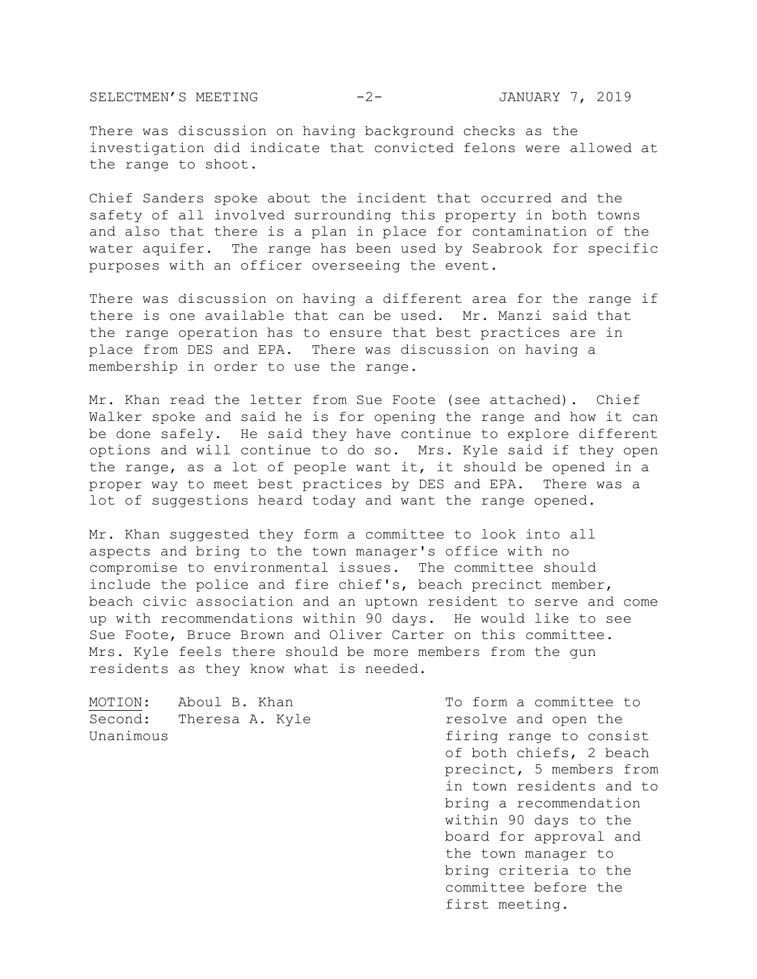SELECTMEN'S MEETING  $-2-$  JANUARY 7, 2019

There was discussion on having background checks as the investigation did indicate that convicted felons were allowed at the range to shoot.

Chief Sanders spoke about the incident that occurred and the safety of all involved surrounding this property in both towns and also that there is a plan in place for contamination of the water aquifer. The range has been used by Seabrook for specific purposes with an officer overseeing the event.

There was discussion on having a different area for the range if there is one available that can be used. Mr. Manzi said that the range operation has to ensure that best practices are in place from DES and EPA. There was discussion on having a membership in order to use the range.

Mr. Khan read the letter from Sue Foote (see attached). Chief Walker spoke and said he is for opening the range and how it can be done safely. He said they have continue to explore different options and will continue to do so. Mrs. Kyle said if they open the range, as a lot of people want it, it should be opened in a proper way to meet best practices by DES and EPA. There was a lot of suggestions heard today and want the range opened.

Mr. Khan suggested they form a committee to look into all aspects and bring to the town manager's office with no compromise to environmental issues. The committee should include the police and fire chief's, beach precinct member, beach civic association and an uptown resident to serve and come up with recommendations within 90 days. He would like to see Sue Foote, Bruce Brown and Oliver Carter on this committee. Mrs. Kyle feels there should be more members from the gun residents as they know what is needed.

MOTION: Aboul B. Khan To form a committee to Second: Theresa A. Kyle example resolve and open the Unanimous **fixing** range to consist

of both chiefs, 2 beach precinct, 5 members from in town residents and to bring a recommendation within 90 days to the board for approval and the town manager to bring criteria to the committee before the first meeting.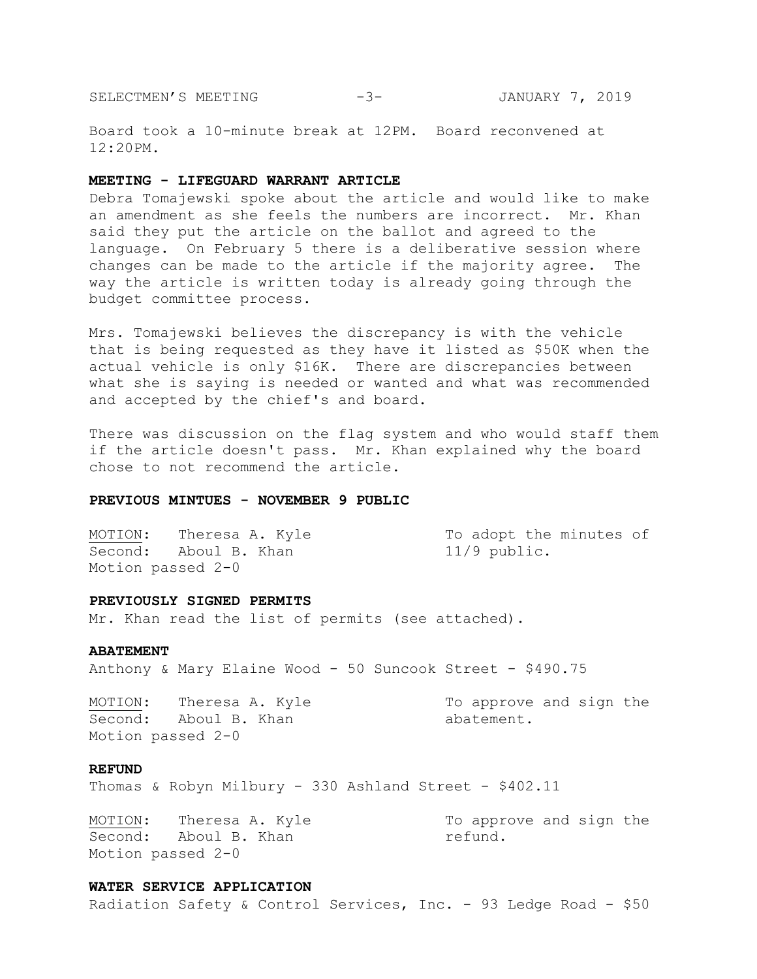SELECTMEN'S MEETING -3- JANUARY 7, 2019

Board took a 10-minute break at 12PM. Board reconvened at 12:20PM.

#### **MEETING - LIFEGUARD WARRANT ARTICLE**

Debra Tomajewski spoke about the article and would like to make an amendment as she feels the numbers are incorrect. Mr. Khan said they put the article on the ballot and agreed to the language. On February 5 there is a deliberative session where changes can be made to the article if the majority agree. The way the article is written today is already going through the budget committee process.

Mrs. Tomajewski believes the discrepancy is with the vehicle that is being requested as they have it listed as \$50K when the actual vehicle is only \$16K. There are discrepancies between what she is saying is needed or wanted and what was recommended and accepted by the chief's and board.

There was discussion on the flag system and who would staff them if the article doesn't pass. Mr. Khan explained why the board chose to not recommend the article.

## **PREVIOUS MINTUES - NOVEMBER 9 PUBLIC**

MOTION: Theresa A. Kyle To adopt the minutes of Second: Aboul B. Khan 11/9 public. Motion passed 2-0

#### **PREVIOUSLY SIGNED PERMITS**

Mr. Khan read the list of permits (see attached).

#### **ABATEMENT**

Anthony & Mary Elaine Wood - 50 Suncook Street - \$490.75

MOTION: Theresa A. Kyle To approve and sign the Second: Aboul B. Khan abatement. Motion passed 2-0

## **REFUND**

Thomas & Robyn Milbury - 330 Ashland Street - \$402.11

MOTION: Theresa A. Kyle To approve and sign the Second: Aboul B. Khan mefund. Motion passed 2-0

#### **WATER SERVICE APPLICATION**

Radiation Safety & Control Services, Inc. - 93 Ledge Road - \$50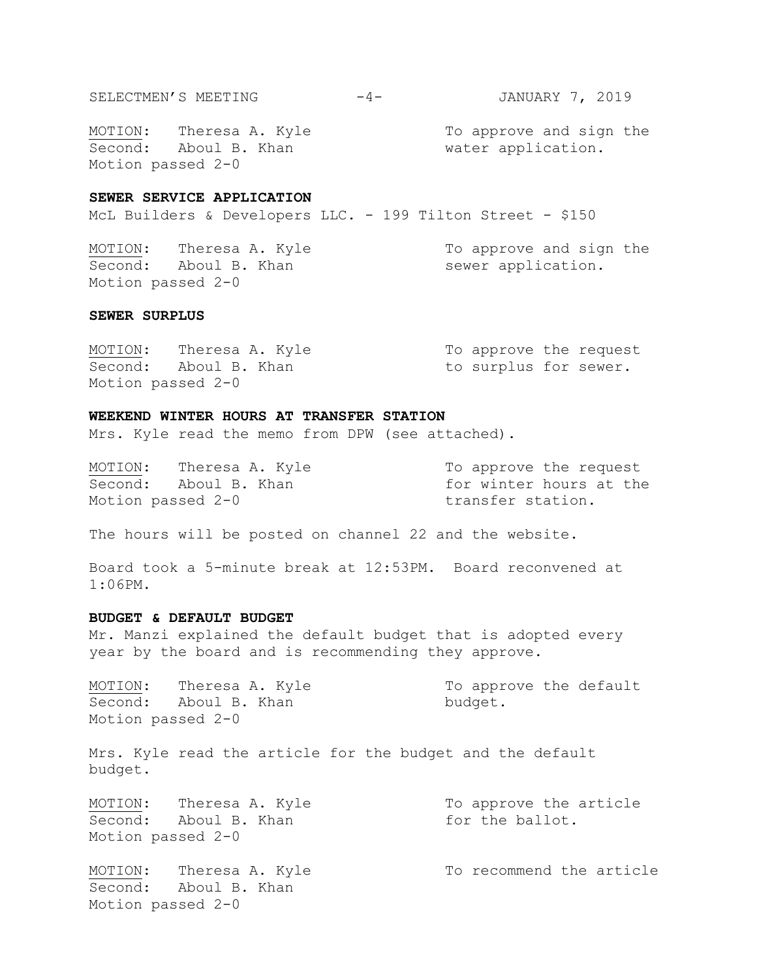SELECTMEN'S MEETING -4- JANUARY 7, 2019

Second: Aboul B. Khan water application. Motion passed 2-0

MOTION: Theresa A. Kyle The To approve and sign the

## **SEWER SERVICE APPLICATION**

McL Builders & Developers LLC. - 199 Tilton Street - \$150

MOTION: Theresa A. Kyle To approve and sign the Second: Aboul B. Khan sewer application. Motion passed 2-0

# **SEWER SURPLUS**

Second: Aboul B. Khan to surplus for sewer. Motion passed 2-0

MOTION: Theresa A. Kyle To approve the request

#### **WEEKEND WINTER HOURS AT TRANSFER STATION**

Mrs. Kyle read the memo from DPW (see attached).

MOTION: Theresa A. Kyle To approve the request Second: Aboul B. Khan for winter hours at the Motion passed 2-0 transfer station.

The hours will be posted on channel 22 and the website.

Board took a 5-minute break at 12:53PM. Board reconvened at 1:06PM.

## **BUDGET & DEFAULT BUDGET**

Mr. Manzi explained the default budget that is adopted every year by the board and is recommending they approve.

Second: Aboul B. Khan budget. Motion passed 2-0

MOTION: Theresa A. Kyle To approve the default

Mrs. Kyle read the article for the budget and the default budget.

MOTION: Theresa A. Kyle To approve the article Second: Aboul B. Khan for the ballot. Motion passed 2-0

Second: Aboul B. Khan Motion passed 2-0

MOTION: Theresa A. Kyle To recommend the article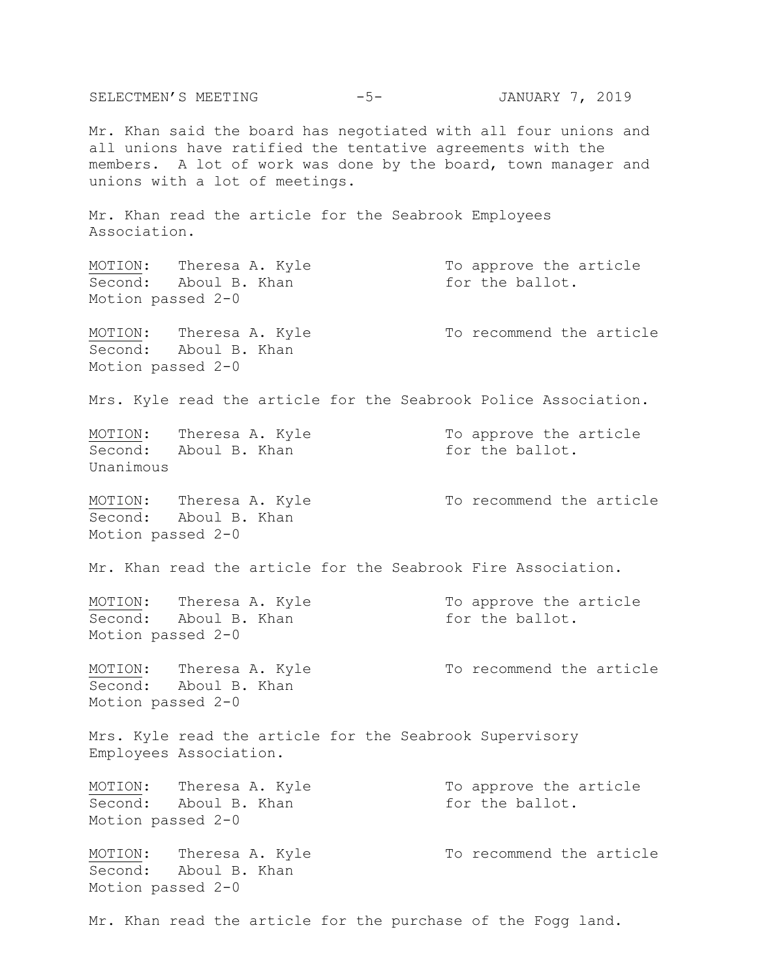SELECTMEN'S MEETING -5- JANUARY 7, 2019 Mr. Khan said the board has negotiated with all four unions and all unions have ratified the tentative agreements with the members. A lot of work was done by the board, town manager and unions with a lot of meetings. Mr. Khan read the article for the Seabrook Employees Association. MOTION: Theresa A. Kyle To approve the article Second: Aboul B. Khan for the ballot. Motion passed 2-0 MOTION: Theresa A. Kyle To recommend the article Second: Aboul B. Khan Motion passed 2-0 Mrs. Kyle read the article for the Seabrook Police Association. MOTION: Theresa A. Kyle To approve the article Second: Aboul B. Khan for the ballot. Unanimous MOTION: Theresa A. Kyle To recommend the article Second: Aboul B. Khan Motion passed 2-0 Mr. Khan read the article for the Seabrook Fire Association. MOTION: Theresa A. Kyle To approve the article Second: Aboul B. Khan for the ballot. Motion passed 2-0 MOTION: Theresa A. Kyle To recommend the article Second: Aboul B. Khan Motion passed 2-0 Mrs. Kyle read the article for the Seabrook Supervisory Employees Association. MOTION: Theresa A. Kyle To approve the article Second: Aboul B. Khan for the ballot. Motion passed 2-0 MOTION: Theresa A. Kyle To recommend the article Second: Aboul B. Khan Motion passed 2-0 Mr. Khan read the article for the purchase of the Fogg land.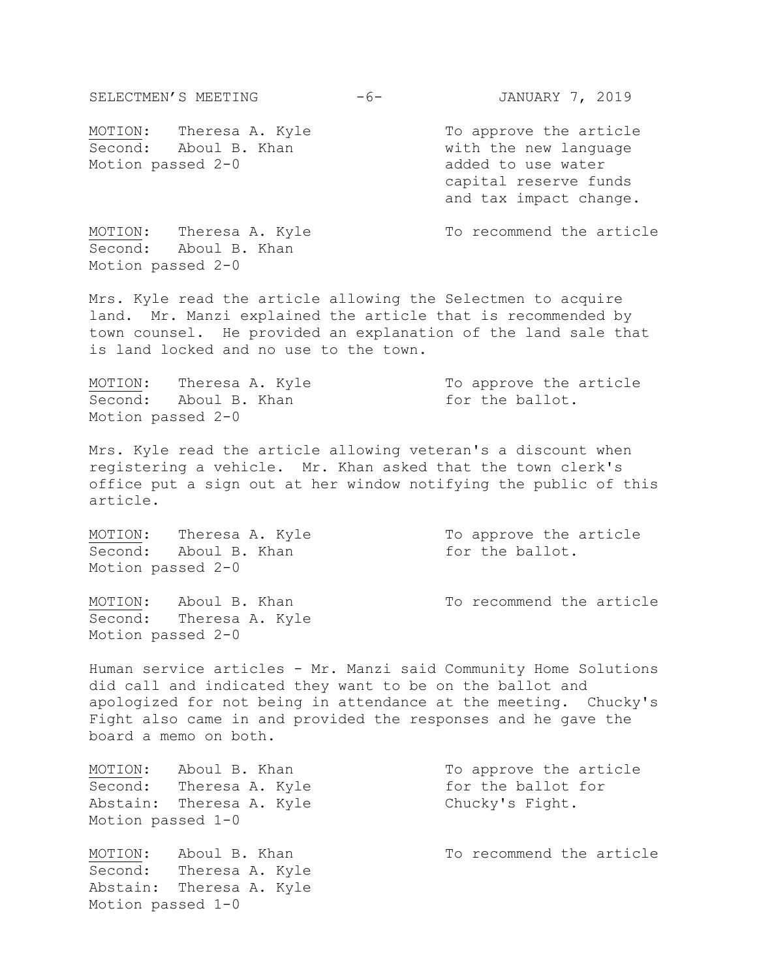MOTION: Theresa A. Kyle To approve the article Second: Aboul B. Khan with the new language Motion passed 2-0 added to use water capital reserve funds and tax impact change. MOTION: Theresa A. Kyle To recommend the article Second: Aboul B. Khan Motion passed 2-0 Mrs. Kyle read the article allowing the Selectmen to acquire land. Mr. Manzi explained the article that is recommended by town counsel. He provided an explanation of the land sale that is land locked and no use to the town. MOTION: Theresa A. Kyle To approve the article Second: Aboul B. Khan for the ballot. Motion passed 2-0 Mrs. Kyle read the article allowing veteran's a discount when registering a vehicle. Mr. Khan asked that the town clerk's office put a sign out at her window notifying the public of this article. MOTION: Theresa A. Kyle To approve the article Second: Aboul B. Khan for the ballot. Motion passed 2-0 MOTION: Aboul B. Khan To recommend the article Second: Theresa A. Kyle Motion passed 2-0 Human service articles - Mr. Manzi said Community Home Solutions did call and indicated they want to be on the ballot and

SELECTMEN'S MEETING -6- JANUARY 7, 2019

apologized for not being in attendance at the meeting. Chucky's Fight also came in and provided the responses and he gave the board a memo on both.

Second: Theresa A. Kyle for the ballot for Abstain: Theresa A. Kyle Chucky's Fight. Motion passed 1-0

MOTION: Aboul B. Khan To recommend the article Second: Theresa A. Kyle Abstain: Theresa A. Kyle Motion passed 1-0

MOTION: Aboul B. Khan To approve the article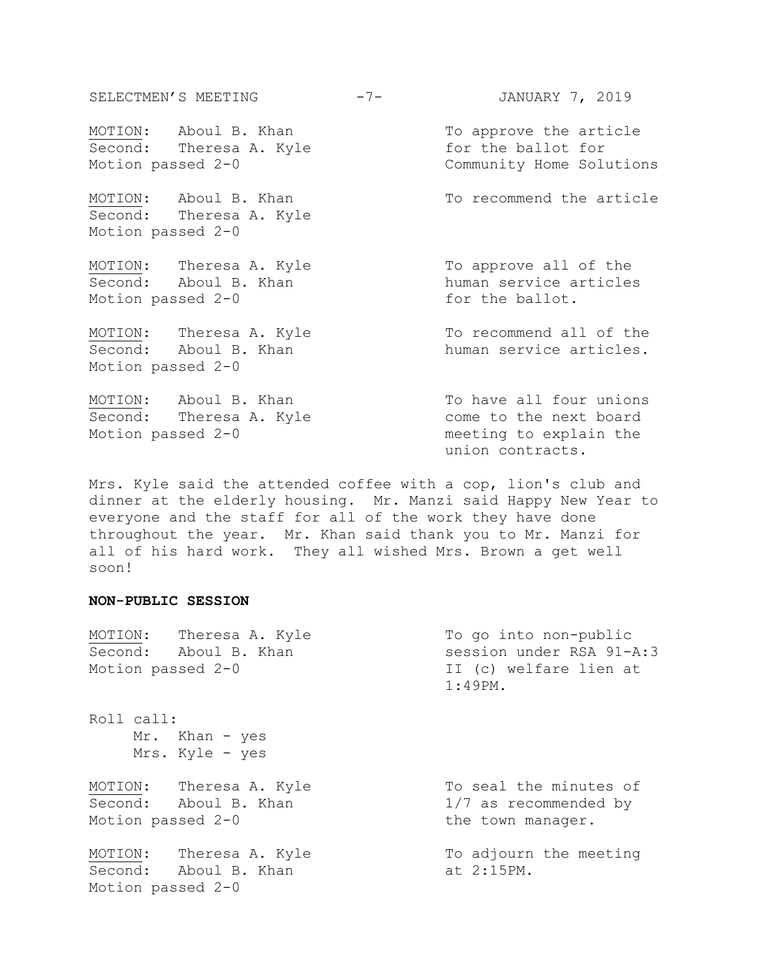SELECTMEN'S MEETING -7- JANUARY 7, 2019 MOTION: Aboul B. Khan To approve the article Second: Theresa A. Kyle for the ballot for Motion passed 2-0 Community Home Solutions MOTION: Aboul B. Khan To recommend the article Second: Theresa A. Kyle Motion passed 2-0 MOTION: Theresa A. Kyle To approve all of the Second: Aboul B. Khan human service articles Motion passed 2-0 for the ballot. MOTION: Theresa A. Kyle To recommend all of the Second: Aboul B. Khan human service articles. Motion passed 2-0 MOTION: Aboul B. Khan To have all four unions Second: Theresa A. Kyle come to the next board Motion passed 2-0 meeting to explain the union contracts.

Mrs. Kyle said the attended coffee with a cop, lion's club and dinner at the elderly housing. Mr. Manzi said Happy New Year to everyone and the staff for all of the work they have done throughout the year. Mr. Khan said thank you to Mr. Manzi for all of his hard work. They all wished Mrs. Brown a get well soon!

#### **NON-PUBLIC SESSION**

| Motion passed 2-0 | MOTION: Theresa A. Kyle<br>Second: Aboul B. Khan | To go into non-public<br>session under RSA 91-A:3<br>II (c) welfare lien at<br>$1:49PM$ . |
|-------------------|--------------------------------------------------|-------------------------------------------------------------------------------------------|
| Roll call:        | Mr. Khan - yes<br>Mrs. Kyle - yes                |                                                                                           |
| Motion passed 2-0 | MOTION: Theresa A. Kyle<br>Second: Aboul B. Khan | To seal the minutes of<br>1/7 as recommended by<br>the town manager.                      |
| Motion passed 2-0 | MOTION: Theresa A. Kyle<br>Second: Aboul B. Khan | To adjourn the meeting<br>at 2:15PM.                                                      |